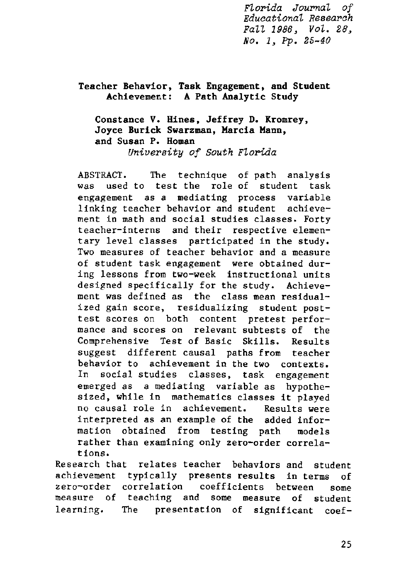*FLorida JournaL of EducationaL Research FaLL* 1986, *VoL. 28, No.1, Pp. 25-40*

## Teacher Behavior, Task Engagement, and Student Achievement: A Path Analytic Study

# Constance V. Hines, Jeffrey D. Kromrey, Joyce Burick Swarzman, Marcia Mann, and Susan P. Homan

*University of South FLorida*

ABSTRACT. The technique of path analysis was used to test the role of student task engagement as a mediating process variable linking teacher behavior and student achievement in math and social studies classes. Forty **teacher-interns and their respective elemen**tary level classes participated in the study. **Two measures of teacher behavior and a measure** of student task engagement were obtained during lessons from two-week instructional units designed specifically for the study. Achievement was defined as the class mean residual**ized gain score, residualizing student post**test scores on both content pretest performance and scores on relevant subtests of the Comprehensive Test of Basic Skills. Results suggest different causal paths from teacher behavior to achievement in the two contexts. In social studies classes, task engagement emerged as a mediating variable as hypothesized, while in mathematics classes it played **no causal role in achievement. Results were** interpreted as an example of the added information obtained from testing path models rather than examining only zero-order correla**tions.**

Research that relates teacher behaviors and student achievement typically presents results in terms of zero-order correlation coefficients between some measure of teaching and some measure of student learning. The presentation of significant coef-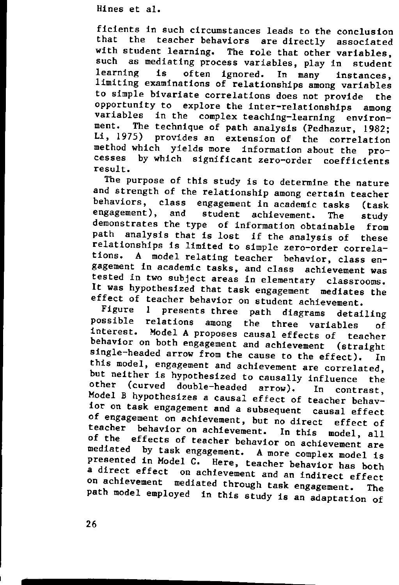ficients in such circumstances leads to the conclusion that the teacher behaviors are directly associated with student learning. The role that other variables,<br>such as mediating process variables, play in atudant as mediating process variables, play in student learning is often ignored. In many instances, limiting examinations of relationships among variables to simple bivariate correlations does not provide the opportunity to explore the inter-relationships among variables in the complex teaching-learning environ-<br>ment. The technique of path analysis (Podhagur, 1922. The technique of path analysis (Pedhazur, 1982; Li, 1975) provides an extension of the correlation method which yields more information about the processes by which significant zero-order coefficients result.

The purpose of this study is to determine the nature and strength of the relationship among certain teacher behaviors, class engagement in academic tasks (task engagement), and student achievement. The study demonstrates the type of information obtainable from path analysis that is lost if the analysis of these relationships is limited to simple zero-order correlations. A model relating teacher behavior, class engagement in academic tasks, and class achievement was **tested in two subject areas in elementary classrooms.** It was hypothesized that task engagement mediates the effect of teacher behavior on student achievement.

Figure 1 presents three path diagrams detailing possible relations among the three variables of<br>interest. Model A proposes anyor offects for the Model A proposes causal effects of teacher behavior on both engagement and achievement (straight single-headed arrow from the cause to the effect). In this model, engagement and achievement are correlated, but neither is hypothesized to causally influence the other (curved double-headed arrow). In contrast, Model B hypothesizes a causal effect of teacher behavior on task engagement and a subsequent causal effect of engagement on achievement, but no direct effect of teacher behavior on achievement. In this model, all of the effects of teacher behavior on achievement are mediated by task engagement. A more complex model is presented in Model C. Here, teacher behavior has both a direct effect on achievement and an indirect effect on achievement mediated through task engagement. The path model employed in this study is an adaptation of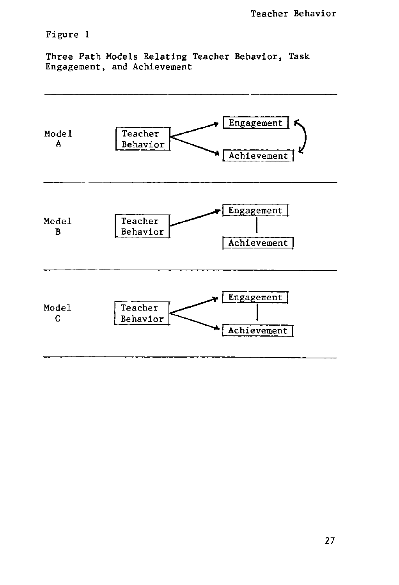# Figure 1

Three Path Models Relating Teacher Behavior, Task Engagement, and Achievement

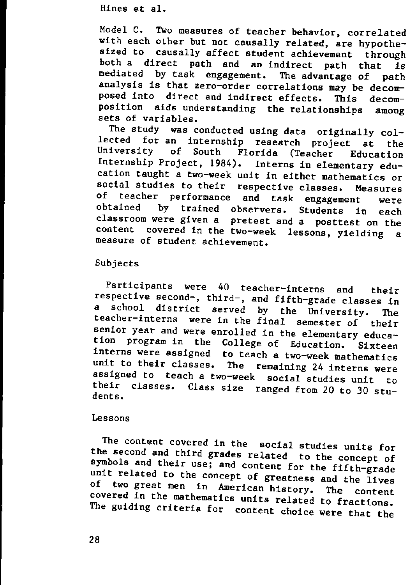Model C. Two measures of teacher behavior, correlated with each other but not causally related, are hypothesized to causally affect student achievement through both a direct path and an indirect path that is mediated by task engagement. The advantage of path analysis is that zero-order correlations may be decomposed into direct and indirect effects. This decomposition aids understanding the relationships among sets of variables.

The study was conducted using data originally collected for an internship research project at the<br>University of South Florida (Teacher Education Florida (Teacher Education Internship Project, 1984). Interns in elementary education taught a two-week unit in either mathematics or social studies to their respective classes. Measures of teacher performance and task engagement were<br>obtained by trained observers, Students in each trained observers. Students in each classroom were given a pretest and a posttest on the content covered in the two-week lessons, yielding a measure of student achievement.

#### Subjects

Participants were 40 teacher-interns and their respective second-, third-, and fifth-grade classes in<br>a school district served by the University. The a school district served by the University. The teacher-interns were in the final semester of their senior year and were enrolled in the elementary education program in the College of Education. Sixteen interns were assigned to teach a two-week mathematics unit to their classes. The remaining 24 interns were assigned to teach a two-week social studies unit to their classes. Class size ranged from 20 to 30 students.

#### **Lessons**

The content covered in the social studies units for the second and third grades related to the concept of symbols and their use; and content for the fifth-grade unit related to the concept of greatness and the lives<br>of two great men, in Aparis, it two great men in American history. The content covered in the mathematics units related to fractions. The guiding criteria for content choice were that the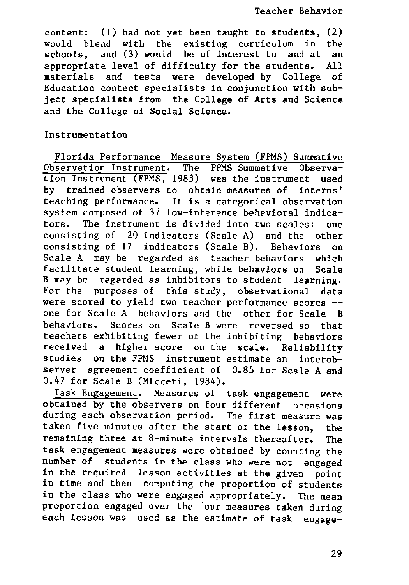content: (1) had not yet been taught to students, (2) would blend with the existing curriculum in the schools, and (3) would be of interest to and at an appropriate level of difficulty for the students. All materials and tests were developed by College of Education content specialists in conjunction with subject specialists from the College of Arts and Science and the College of Social Science.

### Instrumentation

Florida Performance Measure System (FPMS) Summative Observation Instrument. The FPMS Summative Observation Instrument (FPMS, 1983) was the instrument used **by trained observers to obtain measures of interns'** teaching performance. It is a categorical observation system composed of 37 low-inference behavioral indicators. The instrument is divided into two scales: one consisting of 20 indicators (Scale A) and the other consisting of 17 indicators (Scale B). Behaviors on Scale A may be regarded as teacher behaviors which facilitate student learning, while behaviors on Scale B may be regarded as inhibitors to student learning. For the purposes of this study, observational data were scored to yield two teacher performance scores - one for Scale A behaviors and the other for Scale B behaviors. Scores on Scale B were reversed so that teachers exhibiting fewer of the inhibiting behaviors received a higher score on the scale. Reliability studies on the FPMS instrument estimate an interobserver agreement coefficient of 0.85 for Scale A and 0.47 for Scale B (Micceri, 1984).

Task Engagement. Measures of task engagement were obtained by the observers on four different occasions during each observation period. The first measure was taken five minutes after the start of the lesson, the remaining three at 8-minute intervals thereafter. The task engagement measures were obtained by counting the number of students in the class who were not engaged in the required lesson activities at the given point in time and then computing the proportion of students in the class who were engaged appropriately. The mean proportion engaged over the four measures taken during each lesson was used as the estimate of task engage-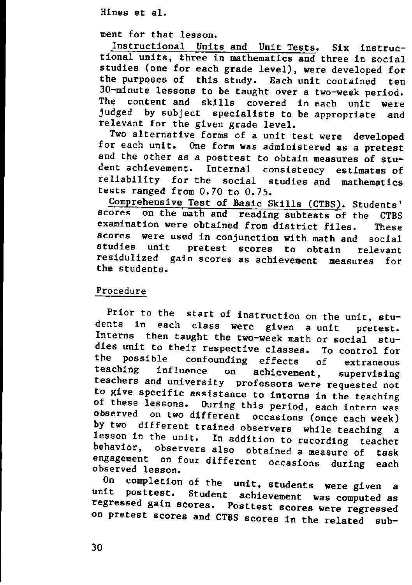ment for that lesson.

Instructional Units and Unit Tests. Six instructional units, three in mathematics and three in social studies (one for each grade level), were developed for the purposes of this study. Each unit contained ten 3D-minute lessons to be taught over a two-week period. The content and skills covered in each unit were judged by subject specialists to be appropriate and relevant for the given grade level.

Two alternative forms of a unit test were developed for each unit. One form was administered as a pretest and the other as a posttest to obtain measures of student achievement. Internal consistency estimates of reliability for the social studies and mathematics tests ranged from 0.70 to 0.75.

Comprehensive Test of Basic Skills (CTBS). Students'<br>scores on the math and reading subtests of the CTBS on the math and reading subtests of the CTBS examination were obtained from district files. These scores were used in conjunction with math and social<br>studies unit pretest scores to obtain relevant pretest scores to obtain relevant residulized gain scores as achievement measures for the students.

#### Procedure

Prior to the start of instruction on the unit, students in each class were given a unit pretest. Interns then taught the two-week math or social studies unit to their respective classes. To control for<br>the possible confounding effects of subsequence the possible confounding effects of extraneous<br>teaching influence on achievement, supervising **teaching influence on achievement, supervlslng teachers and university professors were requested not** to give specific assistance to interns in the teaching of these lessons. During this period, each intern was observed on two different occasions (once each week)<br>by two different trained observance allows in different trained observers while teaching a lesson in the unit. In addition to recording teacher<br>behavior, observers also obtained a recording observers also obtained a measure of task engagement on four different occasions during each observed lesson.

On completion of the unit, students were given a<br>unit posttest, Student achieves in posttest. Student achievement was computed as regressed gain scores. Posttest scores were regressed on pretest scores and CTBS scores in the related sub-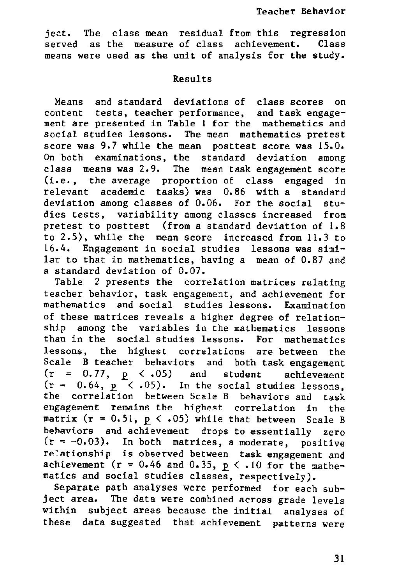ject. The residual from this regression **class mean served** of class achievement. Class **as the measure** means were used as the unit of analysis for the study.

### Results

Means and standard deviations of class scores on content tests, teacher performance, and task engagement are presented in Table 1 for the mathematics and social studies lessons. The mean mathematics pretest score was 9.7 while the mean posttest score was 15.0. On both examinations, the standard deviation among class means was 2.9. The mean task engagement score (i.e., the average proportion of class engaged in relevant academic tasks) was 0.86 with a standard deviation among classes of 0.06. For the social studies tests, variability among classes increased from pretest to posttest (from a standard deviation of 1.8 to 2.5), while the mean score increased from 11.3 to 16.4. Engagement in social studies lessons was similar to that in mathematics, having a mean of 0.87 and a standard deviation of 0.07.

Table 2 presents the correlation matrices relating teacher behavior, task engagement, and achievement for mathematics and social studies lessons. Examination of these matrices reveals a higher degree of relationship among the variables in the mathematics lessons than in the social studies lessons. For mathematics lessons, the highest correlations are between the Scale B teacher behaviors and both task engagement  $(r = 0.77, p < .05)$  and student achievement  $(r = 0.64, p \times .05)$ . In the social studies lessons. the correlation between Scale B behaviors and task engagement remains the highest correlation in the matrix ( $r = 0.51$ ,  $p \lt 0.05$ ) while that between Scale B behaviors and achievement drops to essentially zero  $(r = -0.03)$ . In both matrices, a moderate, positive relationship is observed between task engagement and achievement ( $r = 0.46$  and 0.35,  $p \lt 0.10$  for the mathematics and social studies classes, respectively).

Separate path analyses were performed for each subject area. The data were combined across grade levels within subject areas because the initial analyses of these data suggested that achievement patterns were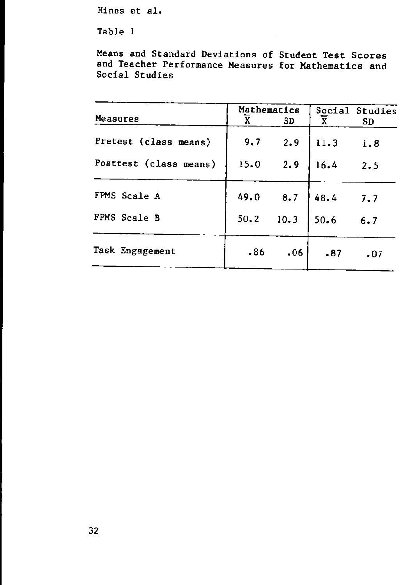Table 1

Means and Standard Deviations of Student Test Scores and Teacher Performance Measures for Mathematics and Social Studies

|                        | Mathematics |      |      | Social Studies |
|------------------------|-------------|------|------|----------------|
| Measures               | X           | SD   | X    | SD             |
| Pretest (class means)  | 9.7         | 2.9  | 11.3 | 1.8            |
| Posttest (class means) | 15.0        | 2.9  | 16.4 | 2.5            |
| FPMS Scale A           | 49.0        | 8.7  | 48.4 | 7.7            |
| FPMS Scale B           | 50.2        | 10.3 | 50.6 | 6.7            |
| Task Engagement        | .86         | .06  | .87  | $\cdot$ 07     |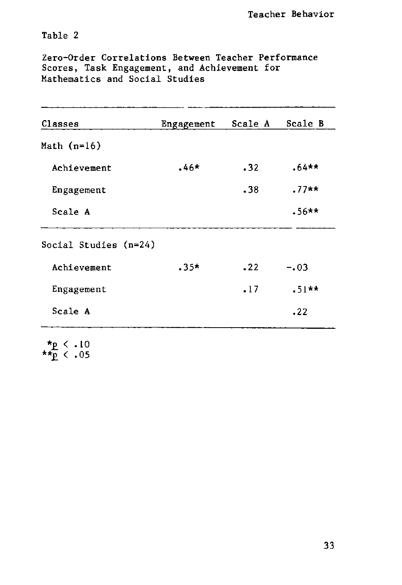Table 2

Zero-Order Correlations Between Teacher Performance Scores, Task Engagement, and Achievement for Mathematics and Social Studies

| Classes               | Engagement | Scale A          | Scale B |
|-----------------------|------------|------------------|---------|
| Math $(n=16)$         |            |                  |         |
| Achievement           | $.46*$     | .32              | $.64**$ |
| Engagement            |            | .38 <sub>1</sub> | $.77**$ |
| Scale A               |            |                  | $.56**$ |
| Social Studies (n=24) |            |                  |         |
| Achievement           | $.35*$     | .22              | $-.03$  |
| Engagement            |            | .17              | $.51**$ |
| Scale A               |            |                  | .22     |

\*<u>p</u> < .10 *\*\*E. <* .05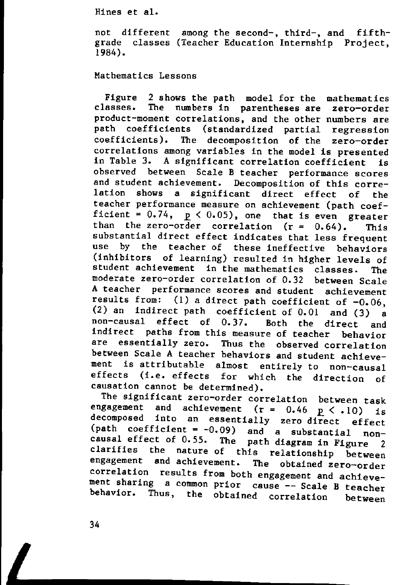not different among the second-, third-, and fifth grade classes (Teacher Education Internship Project, 1984).

Mathematics Lessons

Figure 2 shows the path model for the mathematics<br>classes. The numbers in parentheses are zero-order The numbers in parentheses are zero-order product-moment correlations, and the other numbers are path coefficients (standardized partial regression coefficients). The decomposition of the zero-order correlations among variables in the model is presented in Table 3. A significant correlation coefficient is observed between Scale B teacher performance scores and student achievement. Decomposition of this correlation shows a significant direct effect of the teacher performance measure on achievement (path coefficient =  $0.74$ ,  $p < 0.05$ ), one that is even greater than the zero-order correlation  $(r = 0.64)$ . This substantial direct effect indicates that less frequent use by the teacher of these ineffective behaviors (inhibitors of learning) resulted in higher levels of student achievement in the mathematics classes. The moderate zero-order correlation of 0.32 between Scale A teacher performance scores and student achievement<br>results from:  $(1)$  a direct path coefficient of  $-0.06$ (1) a direct path coefficient of  $-0.06$ . (2) an indirect path coefficient of 0.01 and (3) a non-causal effect of 0.37. Both the direct and indirect paths from this measure of teacher behavior are essentially zero. Thus the observed correlation between Scale A teacher behaviors and student achievement is attributable almost entirely to non-causal effects (i.e. effects for which the direction of causation cannot be determined).

The significant zero-order correlation between task engagement and achievement ( $r = 0.46$   $p \le .10$ ) is decomposed into an essentially zero direct effect (path coefficient =  $-0.09$ ) and a substantial noncausal effect of 0.55. The path diagram in Figure 2 clarifies the nature of this relationship between<br>engagement and achievement. The obtained zero-order The obtained zero-order correlation results from both engagement and achievement sharing a common prior cause -- Scale B teacher behavior. Thus, the obtained correlation between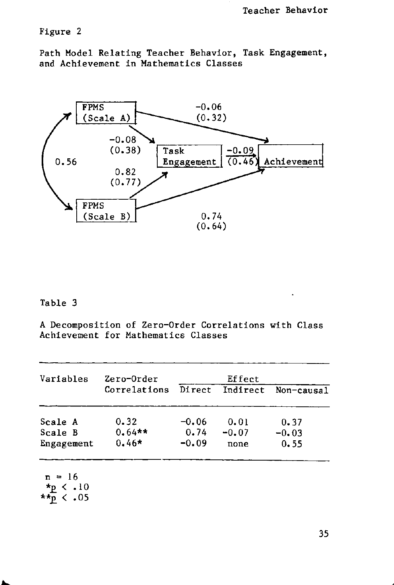## Figure 2

Path Model Relating Teacher Behavior, Task Engagement, and Achievement in Mathematics Classes



## Table 3

A Decomposition of Zero-Order Correlations with Class Achievement for Mathematics Classes

| Indirect<br>Non-causal |
|------------------------|
|                        |
| 0.01<br>0.37           |
| $-0.07$<br>$-0.03$     |
| 0.55<br>none           |
|                        |

```
\star \star \overline{p} < .05
```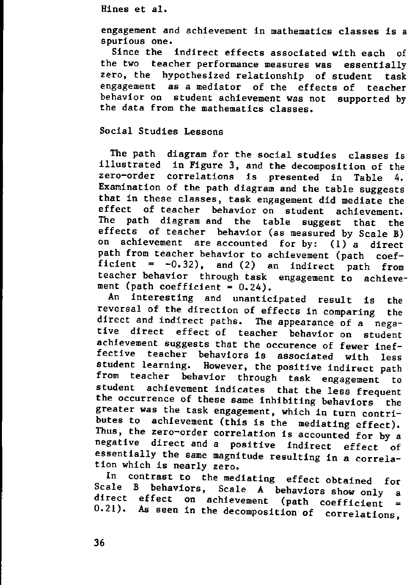engagement and achievement in mathematics classes is a **spurious one.**

Since the indirect effects associated with each of the two teacher performance measures was essentially zero, the hypothesized relationship of student task engagement as a mediator of the effects of teacher behavior on student achievement was not supported by the data from the mathematics classes.

# Social Studies Lessons

The path diagram for the social studies classes is illustrated in Figure 3, and the decomposition of the zero-order correlations is presented in Table 4. Examination of the path diagram and the table suggests that in these classes, task engagement did mediate the effect of teacher behavior on student achievement.<br>The path diagram and the table suggest that the diagram and the table suggest that the effects of teacher behavior (as measured by Scale B)<br>on achievement are accounted for by:  $(1)$  e direct achievement are accounted for by:  $(1)$  a direct path from teacher behavior to achievement (path coefficient =  $-0.32$ ), and (2) an indirect path from teacher behavior through task engagement to achievement (path coefficient  $= 0.24$ ).

An interesting and unanticipated result is the reversal of the direction of effects in comparing the direct and indirect paths. The appearance of a negative direct effect of teacher behavior on student achievement suggests that the occurence of fewer ineffective teacher behaviors is associated with less student learning. However, the positive indirect path from teacher behavior through task engagement to student achievement indicates that the less frequent the occurrence of these same inhibiting behaviors the greater was the task engagement, which in turn contributes to achievement (this is the mediating effect). Thus, the zero-order correlation is accounted for by a negative direct and a positive indirect effect of essentially the same magnitude resulting in a correlation which is nearly zero.

In contrast to the mediating effect obtained for Scale B behaviors, Scale A behaviors show only a direct effect on achievement (path coefficient = 0.21). As seen in the decomposition of correlations,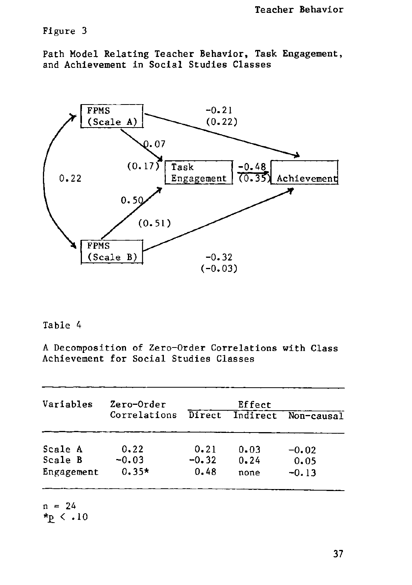# Figure 3

Path Model Relating Teacher Behavior, Task Engagement, and Achievement in Social Studies Classes



### Table 4

A Decomposition of Zero-Order Correlations with Class Achievement for Social Studies Classes

| Zero-Order   |         |          |            |
|--------------|---------|----------|------------|
| Correlations | Direct  | Indirect | Non-causal |
| 0.22         | 0.21    | 0.03     | $-0.02$    |
| $-0.03$      | $-0.32$ | 0.24     | 0.05       |
| $0.35*$      | 0.48    | none     | $-0.13$    |
|              |         |          | Effect     |

 $\frac{1}{12}$  < .10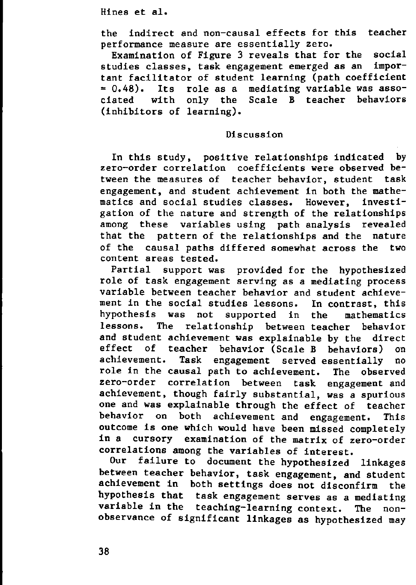the indirect and non-causal effects for this teacher **performance measure are essentially zero.**

Examination of Figure 3 reveals that for the social studies classes, task engagement emerged as an important facilitator of student learning (path coefficient  $= 0.48$ ). Its role as a mediating variable was associated with only the Scale B teacher behaviors (inhibitors of learning).

### Discussion

In this study, positive relationships indicated by zero-order correlation coefficients were observed between the measures of teacher behavior, student task engagement, and student achievement in both the mathematics and social studies classes. However, investigation of the nature and strength of the relationships among these variables using path analysis revealed that the pattern of the relationships and the nature of the causal paths differed somewhat across the two **content areas tested.**

Partial support was provided for the hypothesized role of task engagement serving as a mediating process variable between teacher behavior and student achievement in the social studies lessons. In contrast, this hypothesis was not supported in the mathematics lessons. The relationship between teacher behavior and student achievement was explainable by the direct<br>effect of teacher behavior (Scale B behaviors) on of teacher behavior (Scale B behaviors) on achievement. Task engagement served essentially no role in the causal path to achievement. The observed zero-order correlation between task engagement and achievement, though fairly substantial, was a spurious one and was explainable through the effect of teacher behavior on both achievement and engagement. This outcome is one which would have been missed completely in a cursory examination of the matrix of zero-order correlations among the variables of interest.

Our failure to document the hypothesized linkages between teacher behavior, task engagement, and student achievement in both settings does not disconfirm the hypothesis that task engagement serves as a mediating variable in the teaching-learning context. The nonobservance of significant linkages as hypothesized may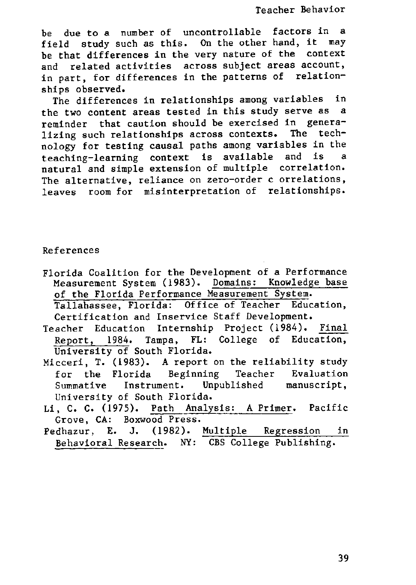Teacher Behavior

be due to a number of uncontrollable factors in a field study such as this. On the other hand, it may be that differences in the very nature of the context **and related activities across subject areas account,** in part, for differences in the patterns of relationships observed.

The differences in relationships among variables in the two content areas tested in this study serve as a reminder that caution should be exercised in generalizing such relationships across contexts. The technology for testing causal paths among variables in the teaching-learning context is available and is a natural and simple extension of multiple correlation. **The alternative, reliance on zero-order correlations,** leaves room for misinterpretation of relationships.

#### **References**

Florida Coalition for the Development of a Performance Measurement System (1983). Domains: Knowledge base of the Florida Performance Measurement System.

Tallahassee, Florida: Office of Teacher Education, Certification and Inservice Staff Development.

Teacher Education Internship Project (1984). Final Report, 1984. Tampa, FL: College of Education, University of South Florida.

- Micceri, **T.** (1983). A report on the reliability study for the Florida Beginning Teacher Evaluation Summative Instrument. Unpublished manuscript, University of South Florida.
- Li, C. c. (1975). Path Analysis: A Primer. Pacific Grove, CA: Boxwood Press.
- Pedhazur, **E. J.** (1982). Multiple Regression in Behavioral Research. NY: CBS College Publishing.

39